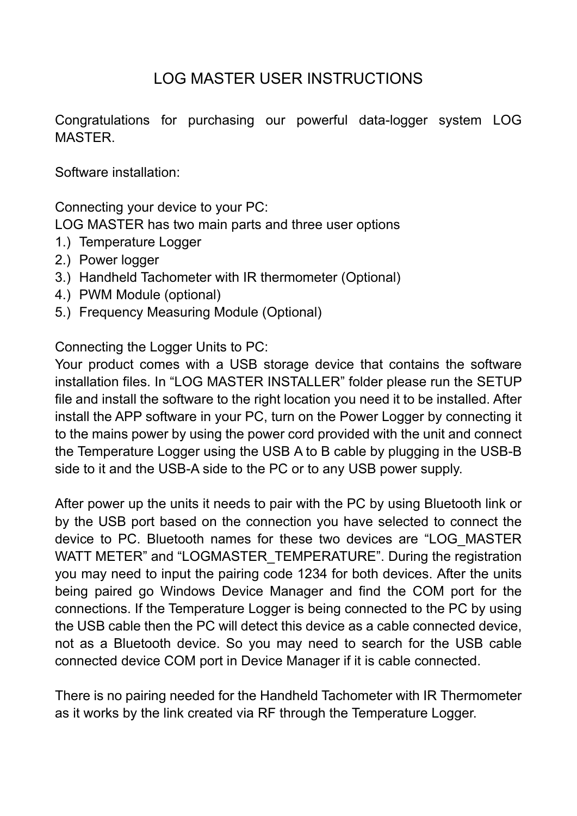## LOG MASTER USER INSTRUCTIONS

Congratulations for purchasing our powerful data-logger system LOG MASTER.

Software installation:

Connecting your device to your PC:

LOG MASTER has two main parts and three user options

- 1.) Temperature Logger
- 2.) Power logger
- 3.) Handheld Tachometer with IR thermometer (Optional)
- 4.) PWM Module (optional)
- 5.) Frequency Measuring Module (Optional)

Connecting the Logger Units to PC:

Your product comes with a USB storage device that contains the software installation files. In "LOG MASTER INSTALLER" folder please run the SETUP file and install the software to the right location you need it to be installed. After install the APP software in your PC, turn on the Power Logger by connecting it to the mains power by using the power cord provided with the unit and connect the Temperature Logger using the USB A to B cable by plugging in the USB-B side to it and the USB-A side to the PC or to any USB power supply.

After power up the units it needs to pair with the PC by using Bluetooth link or by the USB port based on the connection you have selected to connect the device to PC. Bluetooth names for these two devices are "LOG\_MASTER WATT METER" and "LOGMASTER TEMPERATURE". During the registration you may need to input the pairing code 1234 for both devices. After the units being paired go Windows Device Manager and find the COM port for the connections. If the Temperature Logger is being connected to the PC by using the USB cable then the PC will detect this device as a cable connected device, not as a Bluetooth device. So you may need to search for the USB cable connected device COM port in Device Manager if it is cable connected.

There is no pairing needed for the Handheld Tachometer with IR Thermometer as it works by the link created via RF through the Temperature Logger.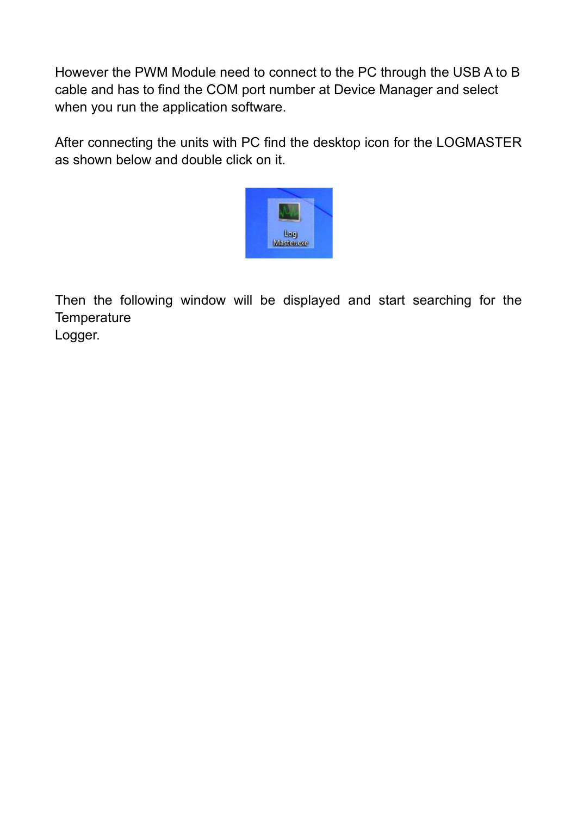However the PWM Module need to connect to the PC through the USB A to B cable and has to find the COM port number at Device Manager and select when you run the application software.

After connecting the units with PC find the desktop icon for the LOGMASTER as shown below and double click on it.



Then the following window will be displayed and start searching for the **Temperature** Logger.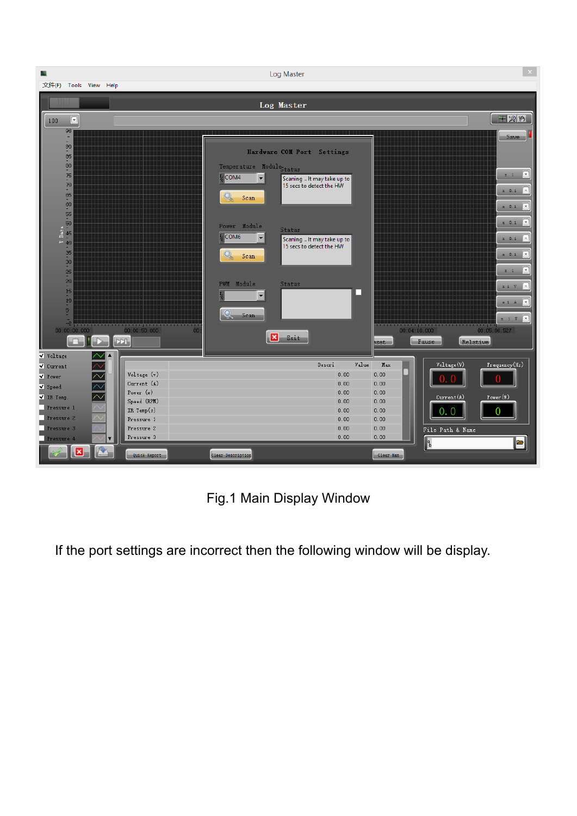

Fig.1 Main Display Window

If the port settings are incorrect then the following window will be display.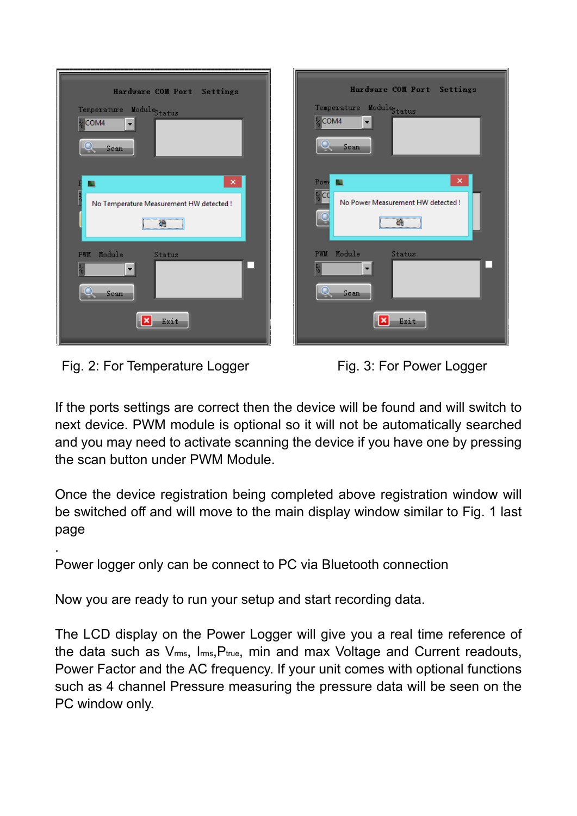| Hardware COM Port Settings<br>Temperature Module <sub>Status</sub><br>$\frac{1}{2}$ COM4<br>$\blacktriangledown$<br><b>Scan</b> | Hardware COM Port Settings<br>Temperature Module <sub>Status</sub><br>$\frac{1}{2}$ COM4<br>Scan |
|---------------------------------------------------------------------------------------------------------------------------------|--------------------------------------------------------------------------------------------------|
| $\propto$<br>ы<br>No Temperature Measurement HW detected !<br>确                                                                 | ×<br>Powe<br>50<br>$\frac{1}{6}$ CC<br>No Power Measurement HW detected !<br>$\overline{C}$<br>确 |
| PWM Module<br>Status<br>۰<br>▼<br>Scan<br>Exit.                                                                                 | PWM Module<br>Status<br>Scan<br>Exit                                                             |

Fig. 2: For Temperature Logger Fig. 3: For Power Logger

.

If the ports settings are correct then the device will be found and will switch to next device. PWM module is optional so it will not be automatically searched and you may need to activate scanning the device if you have one by pressing the scan button under PWM Module.

Once the device registration being completed above registration window will be switched off and will move to the main display window similar to Fig. 1 last page

Power logger only can be connect to PC via Bluetooth connection

Now you are ready to run your setup and start recording data.

The LCD display on the Power Logger will give you a real time reference of the data such as Vrms, Irms,Ptrue, min and max Voltage and Current readouts, Power Factor and the AC frequency. If your unit comes with optional functions such as 4 channel Pressure measuring the pressure data will be seen on the PC window only.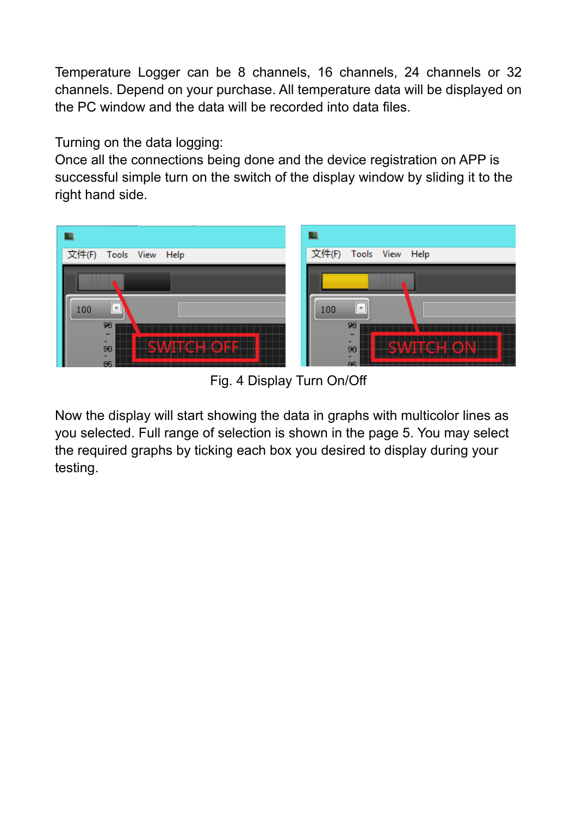Temperature Logger can be 8 channels, 16 channels, 24 channels or 32 channels. Depend on your purchase. All temperature data will be displayed on the PC window and the data will be recorded into data files.

Turning on the data logging:

Once all the connections being done and the device registration on APP is successful simple turn on the switch of the display window by sliding it to the right hand side.



Fig. 4 Display Turn On/Off

Now the display will start showing the data in graphs with multicolor lines as you selected. Full range of selection is shown in the page 5. You may select the required graphs by ticking each box you desired to display during your testing.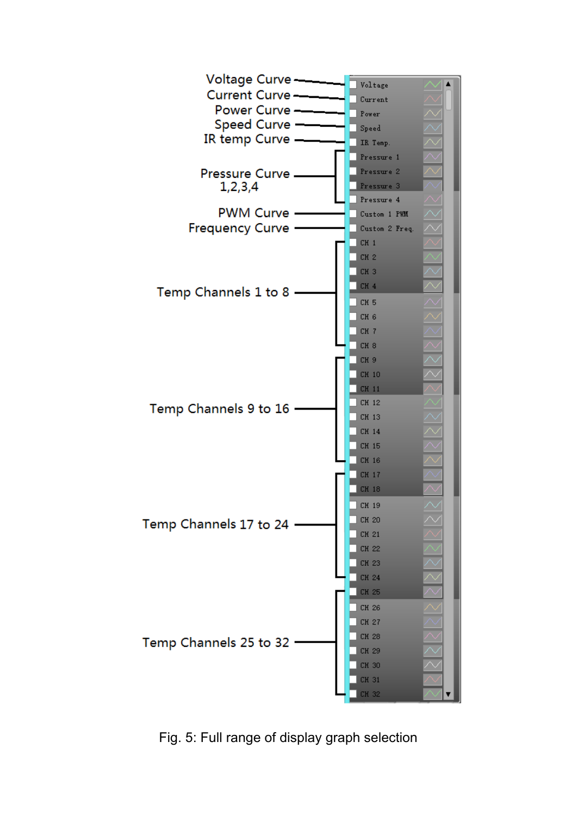

Fig. 5: Full range of display graph selection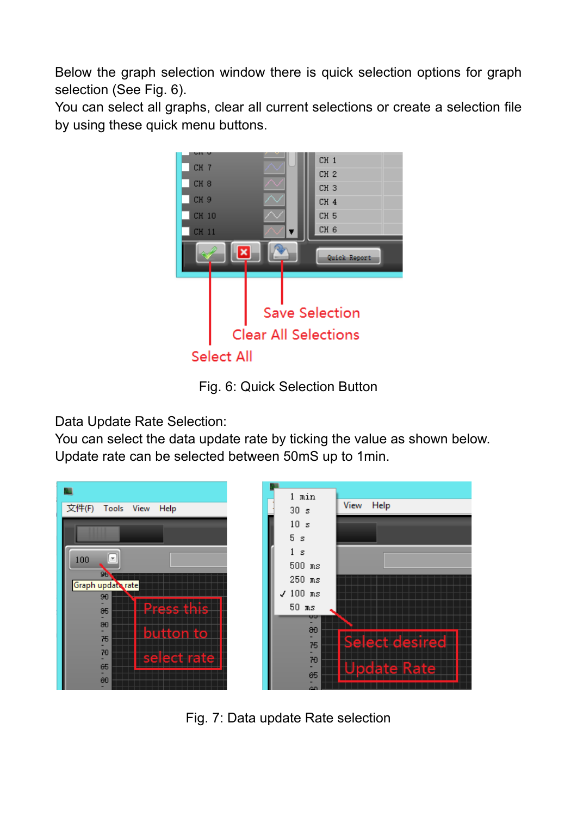Below the graph selection window there is quick selection options for graph selection (See Fig. 6).

You can select all graphs, clear all current selections or create a selection file by using these quick menu buttons.



Fig. 6: Quick Selection Button

Data Update Rate Selection:

You can select the data update rate by ticking the value as shown below. Update rate can be selected between 50mS up to 1min.



Fig. 7: Data update Rate selection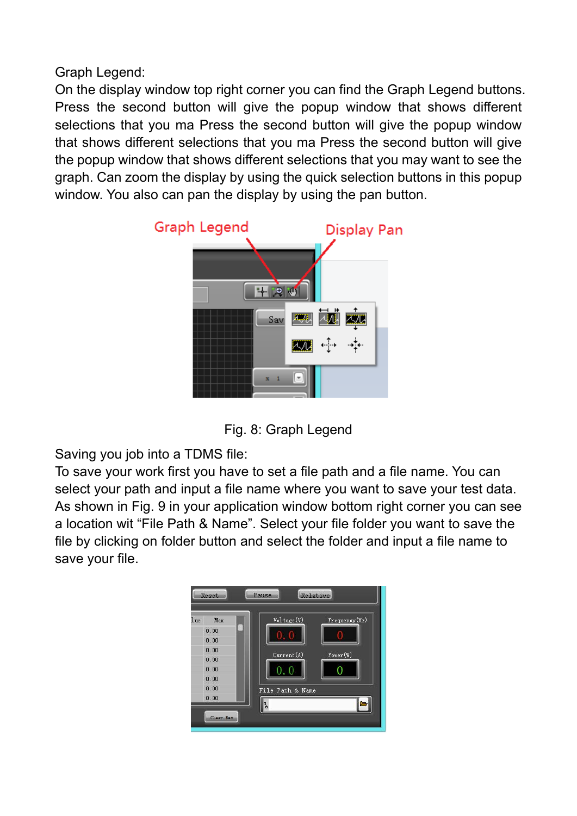Graph Legend:

On the display window top right corner you can find the Graph Legend buttons. Press the second button will give the popup window that shows different selections that you ma Press the second button will give the popup window that shows different selections that you ma Press the second button will give the popup window that shows different selections that you may want to see the graph. Can zoom the display by using the quick selection buttons in this popup window. You also can pan the display by using the pan button.



Fig. 8: Graph Legend

Saving you job into a TDMS file:

To save your work first you have to set a file path and a file name. You can select your path and input a file name where you want to save your test data. As shown in Fig. 9 in your application window bottom right corner you can see a location wit "File Path & Name". Select your file folder you want to save the file by clicking on folder button and select the folder and input a file name to save your file.

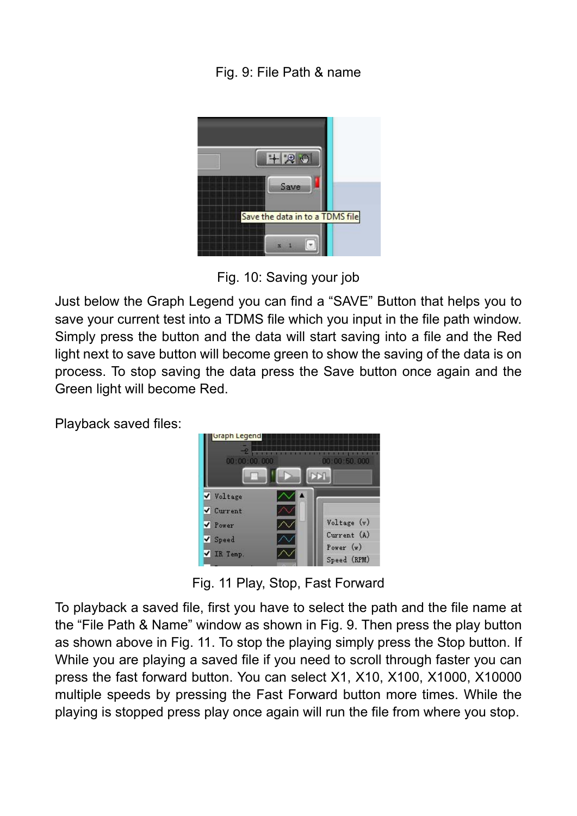Fig. 9: File Path & name



Fig. 10: Saving your job

Just below the Graph Legend you can find a "SAVE" Button that helps you to save your current test into a TDMS file which you input in the file path window. Simply press the button and the data will start saving into a file and the Red light next to save button will become green to show the saving of the data is on process. To stop saving the data press the Save button once again and the Green light will become Red.

Playback saved files:



Fig. 11 Play, Stop, Fast Forward

To playback a saved file, first you have to select the path and the file name at the "File Path & Name" window as shown in Fig. 9. Then press the play button as shown above in Fig. 11. To stop the playing simply press the Stop button. If While you are playing a saved file if you need to scroll through faster you can press the fast forward button. You can select X1, X10, X100, X1000, X10000 multiple speeds by pressing the Fast Forward button more times. While the playing is stopped press play once again will run the file from where you stop.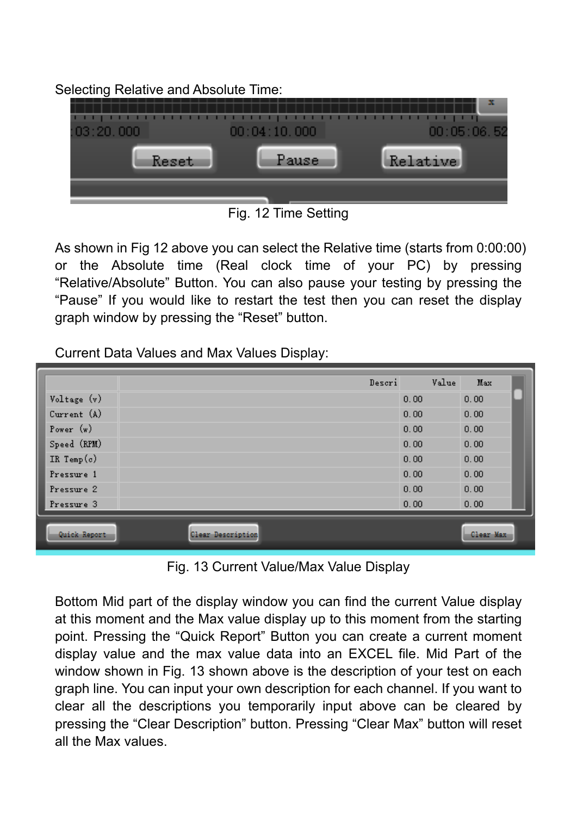Selecting Relative and Absolute Time:



Fig. 12 Time Setting

As shown in Fig 12 above you can select the Relative time (starts from 0:00:00) or the Absolute time (Real clock time of your PC) by pressing "Relative/Absolute" Button. You can also pause your testing by pressing the "Pause" If you would like to restart the test then you can reset the display graph window by pressing the "Reset" button.

Current Data Values and Max Values Display:

|               | Descri                   | Value | Max       |  |
|---------------|--------------------------|-------|-----------|--|
| Voltage (v)   |                          | 0.00  | 0.00      |  |
| Current (A)   |                          | 0.00  | 0.00      |  |
| Power $(w)$   |                          | 0.00  | 0.00      |  |
| Speed (RPM)   |                          | 0.00  | 0.00      |  |
| IR Temp $(c)$ |                          | 0.00  | 0.00      |  |
| Pressure 1    |                          | 0.00  | 0.00      |  |
| Pressure 2    |                          | 0.00  | 0.00      |  |
| Pressure 3    |                          | 0.00  | 0.00      |  |
| Quick Report  | <b>Clear Description</b> |       | Clear Max |  |

Fig. 13 Current Value/Max Value Display

Bottom Mid part of the display window you can find the current Value display at this moment and the Max value display up to this moment from the starting point. Pressing the "Quick Report" Button you can create a current moment display value and the max value data into an EXCEL file. Mid Part of the window shown in Fig. 13 shown above is the description of your test on each graph line. You can input your own description for each channel. If you want to clear all the descriptions you temporarily input above can be cleared by pressing the "Clear Description" button. Pressing "Clear Max" button will reset all the Max values.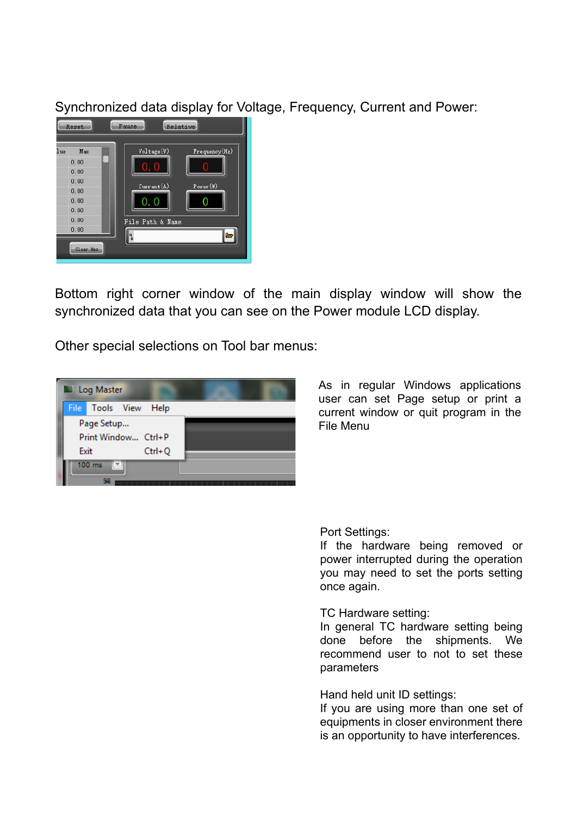Synchronized data display for Voltage, Frequency, Current and Power:



Bottom right corner window of the main display window will show the synchronized data that you can see on the Power module LCD display.

Other special selections on Tool bar menus:



As in regular Windows applications user can set Page setup or print a current window or quit program in the File Menu

Port Settings:

If the hardware being removed or power interrupted during the operation you may need to set the ports setting once again.

## TC Hardware setting:

In general TC hardware setting being done before the shipments. We recommend user to not to set these parameters

Hand held unit ID settings:

If you are using more than one set of equipments in closer environment there is an opportunity to have interferences.